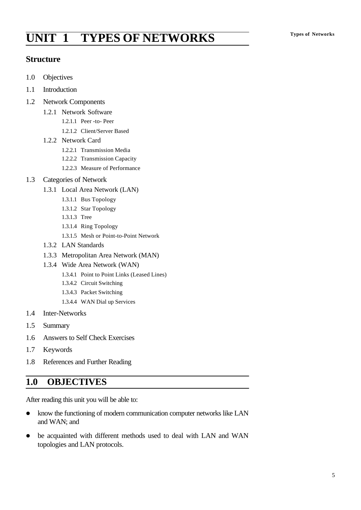# **Types of Networks UNIT 1 TYPES OF NETWORKS**

## **Structure**

- 1.0 Objectives
- 1.1 Introduction
- 1.2 Network Components
	- 1.2.1 Network Software
		- 1.2.1.1 Peer -to- Peer
		- 1.2.1.2 Client/Server Based
	- 1.2.2 Network Card
		- 1.2.2.1 Transmission Media
		- 1.2.2.2 Transmission Capacity
		- 1.2.2.3 Measure of Performance
- 1.3 Categories of Network
	- 1.3.1 Local Area Network (LAN)
		- 1.3.1.1 Bus Topology
		- 1.3.1.2 Star Topology
		- 1.3.1.3 Tree
		- 1.3.1.4 Ring Topology
		- 1.3.1.5 Mesh or Point-to-Point Network
	- 1.3.2 LAN Standards
	- 1.3.3 Metropolitan Area Network (MAN)
	- 1.3.4 Wide Area Network (WAN)
		- 1.3.4.1 Point to Point Links (Leased Lines)
		- 1.3.4.2 Circuit Switching
		- 1.3.4.3 Packet Switching
		- 1.3.4.4 WAN Dial up Services
- 1.4 Inter-Networks
- 1.5 Summary
- 1.6 Answers to Self Check Exercises
- 1.7 Keywords
- 1.8 References and Further Reading

## **1.0 OBJECTIVES**

After reading this unit you will be able to:

- know the functioning of modern communication computer networks like LAN and WAN; and
- be acquainted with different methods used to deal with LAN and WAN topologies and LAN protocols.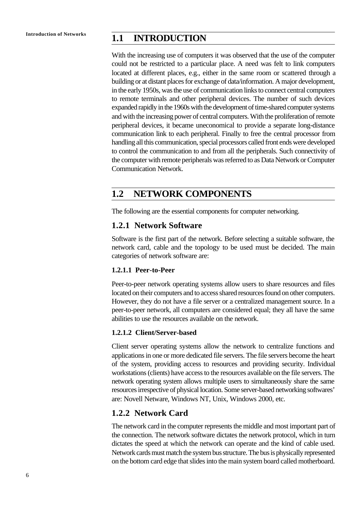## **Introduction of Networks 1.1 INTRODUCTION**

With the increasing use of computers it was observed that the use of the computer could not be restricted to a particular place. A need was felt to link computers located at different places, e.g., either in the same room or scattered through a building or at distant places for exchange of data/information. A major development, in the early 1950s, was the use of communication links to connect central computers to remote terminals and other peripheral devices. The number of such devices expanded rapidly in the 1960s with the development of time-shared computer systems and with the increasing power of central computers. With the proliferation of remote peripheral devices, it became uneconomical to provide a separate long-distance communication link to each peripheral. Finally to free the central processor from handling all this communication, special processors called front ends were developed to control the communication to and from all the peripherals. Such connectivity of the computer with remote peripherals was referred to as Data Network or Computer Communication Network.

## **1.2 NETWORK COMPONENTS**

The following are the essential components for computer networking.

### **1.2.1 Network Software**

Software is the first part of the network. Before selecting a suitable software, the network card, cable and the topology to be used must be decided. The main categories of network software are:

#### **1.2.1.1 Peer-to-Peer**

Peer-to-peer network operating systems allow users to share resources and files located on their computers and to access shared resources found on other computers. However, they do not have a file server or a centralized management source. In a peer-to-peer network, all computers are considered equal; they all have the same abilities to use the resources available on the network.

#### **1.2.1.2 Client/Server-based**

Client server operating systems allow the network to centralize functions and applications in one or more dedicated file servers. The file servers become the heart of the system, providing access to resources and providing security. Individual workstations (clients) have access to the resources available on the file servers. The network operating system allows multiple users to simultaneously share the same resources irrespective of physical location. Some server-based networking softwares' are: Novell Netware, Windows NT, Unix, Windows 2000, etc.

## **1.2.2 Network Card**

The network card in the computer represents the middle and most important part of the connection. The network software dictates the network protocol, which in turn dictates the speed at which the network can operate and the kind of cable used. Network cards must match the system bus structure. The bus is physically represented on the bottom card edge that slides into the main system board called motherboard.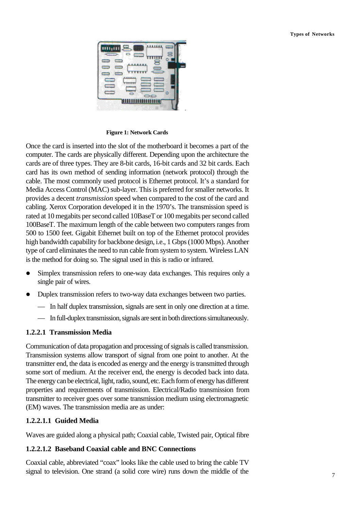

**Figure 1: Network Cards**

Once the card is inserted into the slot of the motherboard it becomes a part of the computer. The cards are physically different. Depending upon the architecture the cards are of three types. They are 8-bit cards, 16-bit cards and 32 bit cards. Each card has its own method of sending information (network protocol) through the cable. The most commonly used protocol is Ethernet protocol. It's a standard for Media Access Control (MAC) sub-layer. This is preferred for smaller networks. It provides a decent *transmission* speed when compared to the cost of the card and cabling. Xerox Corporation developed it in the 1970's. The transmission speed is rated at 10 megabits per second called 10BaseT or 100 megabits per second called 100BaseT. The maximum length of the cable between two computers ranges from 500 to 1500 feet. Gigabit Ethernet built on top of the Ethernet protocol provides high bandwidth capability for backbone design, i.e., 1 Gbps (1000 Mbps). Another type of card eliminates the need to run cable from system to system. Wireless LAN is the method for doing so. The signal used in this is radio or infrared.

- Simplex transmission refers to one-way data exchanges. This requires only a single pair of wires.
- Duplex transmission refers to two-way data exchanges between two parties.
	- In half duplex transmission, signals are sent in only one direction at a time.
	- In full-duplex transmission, signals are sent in both directions simultaneously.

#### **1.2.2.1 Transmission Media**

Communication of data propagation and processing of signals is called transmission. Transmission systems allow transport of signal from one point to another. At the transmitter end, the data is encoded as energy and the energy is transmitted through some sort of medium. At the receiver end, the energy is decoded back into data. The energy can be electrical, light, radio, sound, etc. Each form of energy has different properties and requirements of transmission. Electrical/Radio transmission from transmitter to receiver goes over some transmission medium using electromagnetic (EM) waves. The transmission media are as under:

#### **1.2.2.1.1 Guided Media**

Waves are guided along a physical path; Coaxial cable, Twisted pair, Optical fibre

#### **1.2.2.1.2 Baseband Coaxial cable and BNC Connections**

Coaxial cable, abbreviated "coax" looks like the cable used to bring the cable TV signal to television. One strand (a solid core wire) runs down the middle of the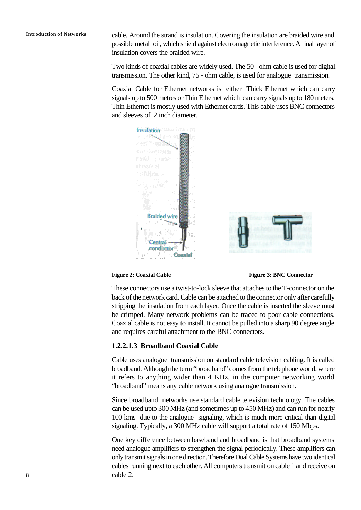**Introduction of Networks** cable. Around the strand is insulation. Covering the insulation are braided wire and possible metal foil, which shield against electromagnetic interference. A final layer of insulation covers the braided wire.

> Two kinds of coaxial cables are widely used. The 50 - ohm cable is used for digital transmission. The other kind, 75 - ohm cable, is used for analogue transmission.

> Coaxial Cable for Ethernet networks is either Thick Ethernet which can carry signals up to 500 metres or Thin Ethernet which can carry signals up to 180 meters. Thin Ethernet is mostly used with Ethernet cards. This cable uses BNC connectors and sleeves of .2 inch diameter.



**Figure 2: Coaxial Cable Figure 3: BNC Connector**

These connectors use a twist-to-lock sleeve that attaches to the T-connector on the back of the network card. Cable can be attached to the connector only after carefully stripping the insulation from each layer. Once the cable is inserted the sleeve must be crimped. Many network problems can be traced to poor cable connections. Coaxial cable is not easy to install. It cannot be pulled into a sharp 90 degree angle and requires careful attachment to the BNC connectors.

#### **1.2.2.1.3 Broadband Coaxial Cable**

Cable uses analogue transmission on standard cable television cabling. It is called broadband. Although the term "broadband" comes from the telephone world, where it refers to anything wider than 4 KHz, in the computer networking world "broadband" means any cable network using analogue transmission.

Since broadband networks use standard cable television technology. The cables can be used upto 300 MHz (and sometimes up to 450 MHz) and can run for nearly 100 kms due to the analogue signaling, which is much more critical than digital signaling. Typically, a 300 MHz cable will support a total rate of 150 Mbps.

One key difference between baseband and broadband is that broadband systems need analogue amplifiers to strengthen the signal periodically. These amplifiers can only transmit signals in one direction. Therefore Dual Cable Systems have two identical cables running next to each other. All computers transmit on cable 1 and receive on cable 2.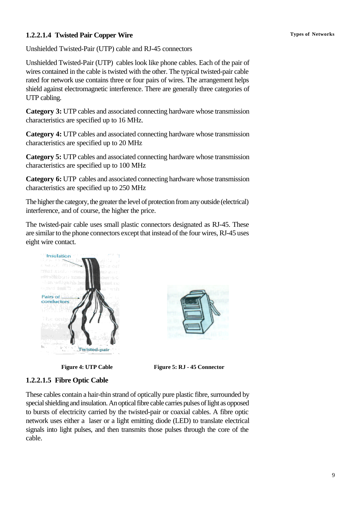### **1.2.2.1.4 Twisted Pair Copper Wire Types of Networks**

Unshielded Twisted-Pair (UTP) cable and RJ-45 connectors

Unshielded Twisted-Pair (UTP) cables look like phone cables. Each of the pair of wires contained in the cable is twisted with the other. The typical twisted-pair cable rated for network use contains three or four pairs of wires. The arrangement helps shield against electromagnetic interference. There are generally three categories of UTP cabling.

**Category 3:** UTP cables and associated connecting hardware whose transmission characteristics are specified up to 16 MHz.

**Category 4:** UTP cables and associated connecting hardware whose transmission characteristics are specified up to 20 MHz

**Category 5:** UTP cables and associated connecting hardware whose transmission characteristics are specified up to 100 MHz

**Category 6:** UTP cables and associated connecting hardware whose transmission characteristics are specified up to 250 MHz

The higher the category, the greater the level of protection from any outside (electrical) interference, and of course, the higher the price.

The twisted-pair cable uses small plastic connectors designated as RJ-45. These are similar to the phone connectors except that instead of the four wires, RJ-45 uses eight wire contact.







**Figure 4: UTP Cable Figure 5: RJ - 45 Connector** 

### **1.2.2.1.5 Fibre Optic Cable**

These cables contain a hair-thin strand of optically pure plastic fibre, surrounded by special shielding and insulation. An optical fibre cable carries pulses of light as opposed to bursts of electricity carried by the twisted-pair or coaxial cables. A fibre optic network uses either a laser or a light emitting diode (LED) to translate electrical signals into light pulses, and then transmits those pulses through the core of the cable.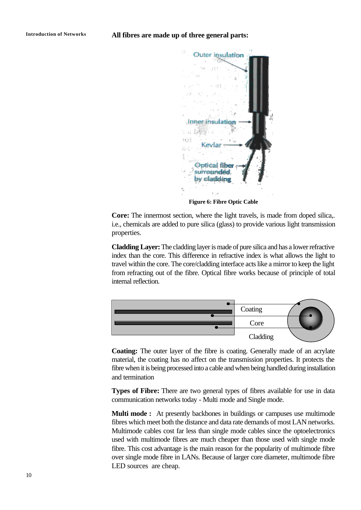

**Figure 6: Fibre Optic Cable**

**Core:** The innermost section, where the light travels, is made from doped silica,. i.e., chemicals are added to pure silica (glass) to provide various light transmission properties.

**Cladding Layer:** The cladding layer is made of pure silica and has a lower refractive index than the core. This difference in refractive index is what allows the light to travel within the core. The core/cladding interface acts like a mirror to keep the light from refracting out of the fibre. Optical fibre works because of principle of total internal reflection.



**Coating:** The outer layer of the fibre is coating. Generally made of an acrylate material, the coating has no affect on the transmission properties. It protects the fibre when it is being processed into a cable and when being handled during installation and termination

**Types of Fibre:** There are two general types of fibres available for use in data communication networks today - Multi mode and Single mode.

**Multi mode :** At presently backbones in buildings or campuses use multimode fibres which meet both the distance and data rate demands of most LAN networks. Multimode cables cost far less than single mode cables since the optoelectronics used with multimode fibres are much cheaper than those used with single mode fibre. This cost advantage is the main reason for the popularity of multimode fibre over single mode fibre in LANs. Because of larger core diameter, multimode fibre LED sources are cheap.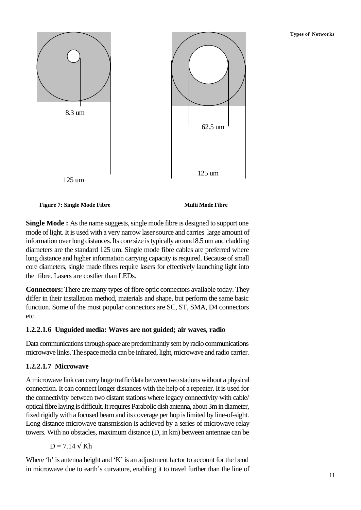#### **Types of Networks**



**Figure 7: Single Mode Fibre Multi Mode Fibre**

**Single Mode :** As the name suggests, single mode fibre is designed to support one mode of light. It is used with a very narrow laser source and carries large amount of information over long distances. Its core size is typically around 8.5 um and cladding diameters are the standard 125 um. Single mode fibre cables are preferred where long distance and higher information carrying capacity is required. Because of small core diameters, single made fibres require lasers for effectively launching light into the fibre. Lasers are costlier than LEDs.

**Connectors:** There are many types of fibre optic connectors available today. They differ in their installation method, materials and shape, but perform the same basic function. Some of the most popular connectors are SC, ST, SMA, D4 connectors etc.

### **1.2.2.1.6 Unguided media: Waves are not guided; air waves, radio**

Data communications through space are predominantly sent by radio communications microwave links. The space media can be infrared, light, microwave and radio carrier.

## **1.2.2.1.7 Microwave**

A microwave link can carry huge traffic/data between two stations without a physical connection. It can connect longer distances with the help of a repeater. It is used for the connectivity between two distant stations where legacy connectivity with cable/ optical fibre laying is difficult. It requires Parabolic dish antenna, about 3m in diameter, fixed rigidly with a focused beam and its coverage per hop is limited by line-of-sight. Long distance microwave transmission is achieved by a series of microwave relay towers. With no obstacles, maximum distance (D, in km) between antennae can be

$$
D=7.14\;\sqrt{\;Kh}
$$

Where 'h' is antenna height and 'K' is an adjustment factor to account for the bend in microwave due to earth's curvature, enabling it to travel further than the line of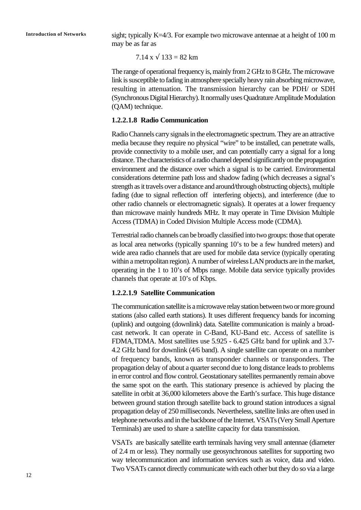**Introduction of Networks** sight; typically K=4/3. For example two microwave antennae at a height of 100 m may be as far as

 $7.14 \text{ x} \sqrt{133} = 82 \text{ km}$ 

The range of operational frequency is, mainly from 2 GHz to 8 GHz. The microwave link is susceptible to fading in atmosphere specially heavy rain absorbing microwave, resulting in attenuation. The transmission hierarchy can be PDH/ or SDH (Synchronous Digital Hierarchy). It normally uses Quadrature Amplitude Modulation (QAM) technique.

#### **1.2.2.1.8 Radio Communication**

Radio Channels carry signals in the electromagnetic spectrum. They are an attractive media because they require no physical "wire" to be installed, can penetrate walls, provide connectivity to a mobile user, and can potentially carry a signal for a long distance. The characteristics of a radio channel depend significantly on the propagation environment and the distance over which a signal is to be carried. Environmental considerations determine path loss and shadow fading (which decreases a signal's strength as it travels over a distance and around/through obstructing objects), multiple fading (due to signal reflection off interfering objects), and interference (due to other radio channels or electromagnetic signals). It operates at a lower frequency than microwave mainly hundreds MHz. It may operate in Time Division Multiple Access (TDMA) in Coded Division Multiple Access mode (CDMA).

Terrestrial radio channels can be broadly classified into two groups: those that operate as local area networks (typically spanning 10's to be a few hundred meters) and wide area radio channels that are used for mobile data service (typically operating within a metropolitan region). A number of wireless LAN products are in the market, operating in the 1 to 10's of Mbps range. Mobile data service typically provides channels that operate at 10's of Kbps.

#### **1.2.2.1.9 Satellite Communication**

The communication satellite is a microwave relay station between two or more ground stations (also called earth stations). It uses different frequency bands for incoming (uplink) and outgoing (downlink) data. Satellite communication is mainly a broadcast network. It can operate in C-Band, KU-Band etc. Access of satellite is FDMA,TDMA. Most satellites use 5.925 - 6.425 GHz band for uplink and 3.7- 4.2 GHz band for downlink (4/6 band). A single satellite can operate on a number of frequency bands, known as transponder channels or transponders. The propagation delay of about a quarter second due to long distance leads to problems in error control and flow control. Geostationary satellites permanently remain above the same spot on the earth. This stationary presence is achieved by placing the satellite in orbit at 36,000 kilometers above the Earth's surface. This huge distance between ground station through satellite back to ground station introduces a signal propagation delay of 250 milliseconds. Nevertheless, satellite links are often used in telephone networks and in the backbone of the Internet. VSATs (Very Small Aperture Terminals) are used to share a satellite capacity for data transmission.

VSATs are basically satellite earth terminals having very small antennae (diameter of 2.4 m or less). They normally use geosynchronous satellites for supporting two way telecommunication and information services such as voice, data and video. Two VSATs cannot directly communicate with each other but they do so via a large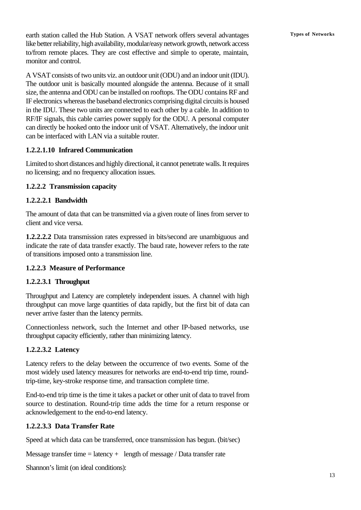earth station called the Hub Station. A VSAT network offers several advantages Types of Networks like better reliability, high availability, modular/easy network growth, network access to/from remote places. They are cost effective and simple to operate, maintain, monitor and control.

A VSAT consists of two units viz. an outdoor unit (ODU) and an indoor unit (IDU). The outdoor unit is basically mounted alongside the antenna. Because of it small size, the antenna and ODU can be installed on rooftops. The ODU contains RF and IF electronics whereas the baseband electronics comprising digital circuits is housed in the IDU. These two units are connected to each other by a cable. In addition to RF/IF signals, this cable carries power supply for the ODU. A personal computer can directly be hooked onto the indoor unit of VSAT. Alternatively, the indoor unit can be interfaced with LAN via a suitable router.

### **1.2.2.1.10 Infrared Communication**

Limited to short distances and highly directional, it cannot penetrate walls. It requires no licensing; and no frequency allocation issues.

### **1.2.2.2 Transmission capacity**

### **1.2.2.2.1 Bandwidth**

The amount of data that can be transmitted via a given route of lines from server to client and vice versa.

**1.2.2.2.2** Data transmission rates expressed in bits/second are unambiguous and indicate the rate of data transfer exactly. The baud rate, however refers to the rate of transitions imposed onto a transmission line.

## **1.2.2.3 Measure of Performance**

### **1.2.2.3.1 Throughput**

Throughput and Latency are completely independent issues. A channel with high throughput can move large quantities of data rapidly, but the first bit of data can never arrive faster than the latency permits.

Connectionless network, such the Internet and other IP-based networks, use throughput capacity efficiently, rather than minimizing latency.

## **1.2.2.3.2 Latency**

Latency refers to the delay between the occurrence of two events. Some of the most widely used latency measures for networks are end-to-end trip time, roundtrip-time, key-stroke response time, and transaction complete time.

End-to-end trip time is the time it takes a packet or other unit of data to travel from source to destination. Round-trip time adds the time for a return response or acknowledgement to the end-to-end latency.

### **1.2.2.3.3 Data Transfer Rate**

Speed at which data can be transferred, once transmission has begun. (bit/sec)

Message transfer time  $=$  latency  $+$  length of message / Data transfer rate

Shannon's limit (on ideal conditions):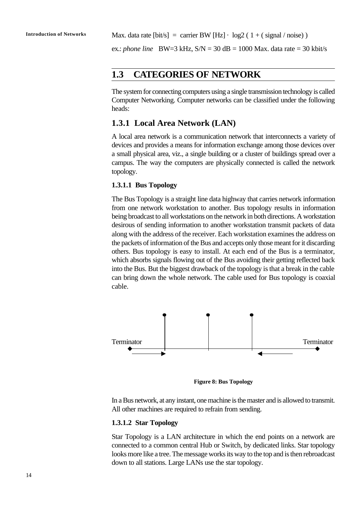ex.: *phone line* BW=3 kHz, S/N = 30 dB = 1000 Max. data rate = 30 kbit/s

## **1.3 CATEGORIES OF NETWORK**

The system for connecting computers using a single transmission technology is called Computer Networking. Computer networks can be classified under the following heads:

#### **1.3.1 Local Area Network (LAN)**

A local area network is a communication network that interconnects a variety of devices and provides a means for information exchange among those devices over a small physical area, viz., a single building or a cluster of buildings spread over a campus. The way the computers are physically connected is called the network topology.

#### **1.3.1.1 Bus Topology**

The Bus Topology is a straight line data highway that carries network information from one network workstation to another. Bus topology results in information being broadcast to all workstations on the network in both directions. A workstation desirous of sending information to another workstation transmit packets of data along with the address of the receiver. Each workstation examines the address on the packets of information of the Bus and accepts only those meant for it discarding others. Bus topology is easy to install. At each end of the Bus is a terminator, which absorbs signals flowing out of the Bus avoiding their getting reflected back into the Bus. But the biggest drawback of the topology is that a break in the cable can bring down the whole network. The cable used for Bus topology is coaxial cable.



**Figure 8: Bus Topology**

In a Bus network, at any instant, one machine is the master and is allowed to transmit. All other machines are required to refrain from sending.

#### **1.3.1.2 Star Topology**

Star Topology is a LAN architecture in which the end points on a network are connected to a common central Hub or Switch, by dedicated links. Star topology looks more like a tree. The message works its way to the top and is then rebroadcast down to all stations. Large LANs use the star topology.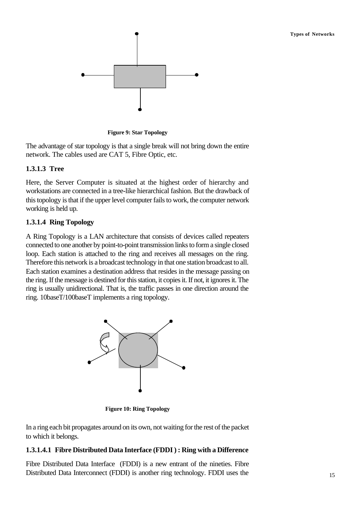

**Figure 9: Star Topology**

The advantage of star topology is that a single break will not bring down the entire network. The cables used are CAT 5, Fibre Optic, etc.

### **1.3.1.3 Tree**

Here, the Server Computer is situated at the highest order of hierarchy and workstations are connected in a tree-like hierarchical fashion. But the drawback of this topology is that if the upper level computer fails to work, the computer network working is held up.

### **1.3.1.4 Ring Topology**

A Ring Topology is a LAN architecture that consists of devices called repeaters connected to one another by point-to-point transmission links to form a single closed loop. Each station is attached to the ring and receives all messages on the ring. Therefore this network is a broadcast technology in that one station broadcast to all. Each station examines a destination address that resides in the message passing on the ring. If the message is destined for this station, it copies it. If not, it ignores it. The ring is usually unidirectional. That is, the traffic passes in one direction around the ring. 10baseT/100baseT implements a ring topology.



**Figure 10: Ring Topology**

In a ring each bit propagates around on its own, not waiting for the rest of the packet to which it belongs.

#### **1.3.1.4.1 Fibre Distributed Data Interface (FDDI ) : Ring with a Difference**

Fibre Distributed Data Interface (FDDI) is a new entrant of the nineties. Fibre Distributed Data Interconnect (FDDI) is another ring technology. FDDI uses the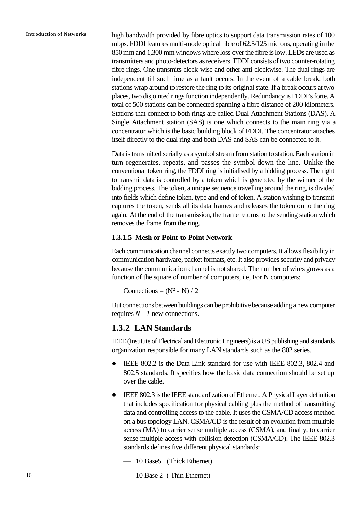**Introduction of Networks** high bandwidth provided by fibre optics to support data transmission rates of 100 mbps. FDDI features multi-mode optical fibre of 62.5/125 microns, operating in the 850 mm and 1,300 mm windows where loss over the fibre is low. LEDs are used as transmitters and photo-detectors as receivers. FDDI consists of two counter-rotating fibre rings. One transmits clock-wise and other anti-clockwise. The dual rings are independent till such time as a fault occurs. In the event of a cable break, both stations wrap around to restore the ring to its original state. If a break occurs at two places, two disjointed rings function independently. Redundancy is FDDI's forte. A total of 500 stations can be connected spanning a fibre distance of 200 kilometers. Stations that connect to both rings are called Dual Attachment Stations (DAS). A Single Attachment station (SAS) is one which connects to the main ring via a concentrator which is the basic building block of FDDI. The concentrator attaches itself directly to the dual ring and both DAS and SAS can be connected to it.

> Data is transmitted serially as a symbol stream from station to station. Each station in turn regenerates, repeats, and passes the symbol down the line. Unlike the conventional token ring, the FDDI ring is initialised by a bidding process. The right to transmit data is controlled by a token which is generated by the winner of the bidding process. The token, a unique sequence travelling around the ring, is divided into fields which define token, type and end of token. A station wishing to transmit captures the token, sends all its data frames and releases the token on to the ring again. At the end of the transmission, the frame returns to the sending station which removes the frame from the ring.

#### **1.3.1.5 Mesh or Point-to-Point Network**

Each communication channel connects exactly two computers. It allows flexibility in communication hardware, packet formats, etc. It also provides security and privacy because the communication channel is not shared. The number of wires grows as a function of the square of number of computers, i.e, For N computers:

Connections =  $(N^2 - N) / 2$ 

But connections between buildings can be prohibitive because adding a new computer requires *N - 1* new connections.

#### **1.3.2 LAN Standards**

IEEE (Institute of Electrical and Electronic Engineers) is a US publishing and standards organization responsible for many LAN standards such as the 802 series.

- IEEE 802.2 is the Data Link standard for use with IEEE 802.3, 802.4 and 802.5 standards. It specifies how the basic data connection should be set up over the cable.
- IEEE 802.3 is the IEEE standardization of Ethernet. A Physical Layer definition that includes specification for physical cabling plus the method of transmitting data and controlling access to the cable. It uses the CSMA/CD access method on a bus topology LAN. CSMA/CD is the result of an evolution from multiple access (MA) to carrier sense multiple access (CSMA), and finally, to carrier sense multiple access with collision detection (CSMA/CD). The IEEE 802.3 standards defines five different physical standards:
	- 10 Base5 (Thick Ethernet)
	- 10 Base 2 ( Thin Ethernet)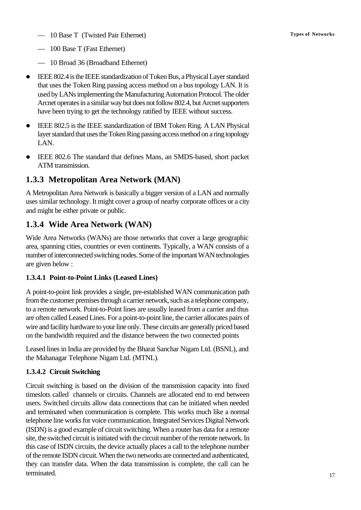- 10 Base T (Twisted Pair Ethernet) **Types of Networks**
- 100 Base T (Fast Ethernet)
- 10 Broad 36 (Broadband Ethernet)
- **IEEE 802.4** is the IEEE standardization of Token Bus, a Physical Layer standard that uses the Token Ring passing access method on a bus topology LAN. It is used by LANs implementing the Manufacturing Automation Protocol. The older Arcnet operates in a similar way but does not follow 802.4, but Arcnet supporters have been trying to get the technology ratified by IEEE without success.
- IEEE 802.5 is the IEEE standardization of IBM Token Ring. A LAN Physical layer standard that uses the Token Ring passing access method on a ring topology LAN.
- l IEEE 802.6 The standard that defines Mans, an SMDS-based, short packet ATM transmission.

## **1.3.3 Metropolitan Area Network (MAN)**

A Metropolitan Area Network is basically a bigger version of a LAN and normally uses similar technology. It might cover a group of nearby corporate offices or a city and might be either private or public.

## **1.3.4 Wide Area Network (WAN)**

Wide Area Networks (WANs) are those networks that cover a large geographic area, spanning cities, countries or even continents. Typically, a WAN consists of a number of interconnected switching nodes. Some of the important WAN technologies are given below :

## **1.3.4.1 Point-to-Point Links (Leased Lines)**

A point-to-point link provides a single, pre-established WAN communication path from the customer premises through a carrier network, such as a telephone company, to a remote network. Point-to-Point lines are usually leased from a carrier and thus are often called Leased Lines. For a point-to-point line, the carrier allocates pairs of wire and facility hardware to your line only. These circuits are generally priced based on the bandwidth required and the distance between the two connected points

Leased lines in India are provided by the Bharat Sanchar Nigam Ltd. (BSNL), and the Mahanagar Telephone Nigam Ltd. (MTNL).

## **1.3.4.2 Circuit Switching**

Circuit switching is based on the division of the transmission capacity into fixed timeslots called channels or circuits. Channels are allocated end to end between users. Switched circuits allow data connections that can be initiated when needed and terminated when communication is complete. This works much like a normal telephone line works for voice communication. Integrated Services Digital Network (ISDN) is a good example of circuit switching. When a router has data for a remote site, the switched circuit is initiated with the circuit number of the remote network. In this case of ISDN circuits, the device actually places a call to the telephone number of the remote ISDN circuit. When the two networks are connected and authenticated, they can transfer data. When the data transmission is complete, the call can be terminated.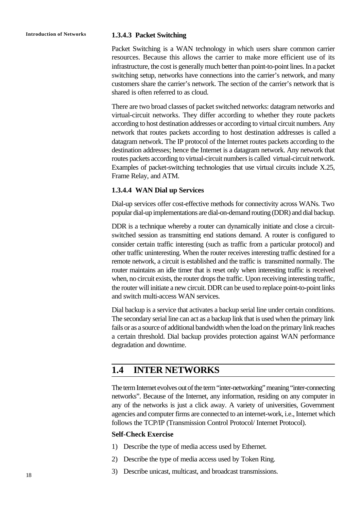#### **Introduction of Networks 1.3.4.3 Packet Switching**

Packet Switching is a WAN technology in which users share common carrier resources. Because this allows the carrier to make more efficient use of its infrastructure, the cost is generally much better than point-to-point lines. In a packet switching setup, networks have connections into the carrier's network, and many customers share the carrier's network. The section of the carrier's network that is shared is often referred to as cloud.

There are two broad classes of packet switched networks: datagram networks and virtual-circuit networks. They differ according to whether they route packets according to host destination addresses or according to virtual circuit numbers. Any network that routes packets according to host destination addresses is called a datagram network. The IP protocol of the Internet routes packets according to the destination addresses; hence the Internet is a datagram network. Any network that routes packets according to virtual-circuit numbers is called virtual-circuit network. Examples of packet-switching technologies that use virtual circuits include X.25, Frame Relay, and ATM.

#### **1.3.4.4 WAN Dial up Services**

Dial-up services offer cost-effective methods for connectivity across WANs. Two popular dial-up implementations are dial-on-demand routing (DDR) and dial backup.

DDR is a technique whereby a router can dynamically initiate and close a circuitswitched session as transmitting end stations demand. A router is configured to consider certain traffic interesting (such as traffic from a particular protocol) and other traffic uninteresting. When the router receives interesting traffic destined for a remote network, a circuit is established and the traffic is transmitted normally. The router maintains an idle timer that is reset only when interesting traffic is received when, no circuit exists, the router drops the traffic. Upon receiving interesting traffic, the router will initiate a new circuit. DDR can be used to replace point-to-point links and switch multi-access WAN services.

Dial backup is a service that activates a backup serial line under certain conditions. The secondary serial line can act as a backup link that is used when the primary link fails or as a source of additional bandwidth when the load on the primary link reaches a certain threshold. Dial backup provides protection against WAN performance degradation and downtime.

## **1.4 INTER NETWORKS**

The term Internet evolves out of the term "inter-networking" meaning "inter-connecting networks". Because of the Internet, any information, residing on any computer in any of the networks is just a click away. A variety of universities, Government agencies and computer firms are connected to an internet-work, i.e., Internet which follows the TCP/IP (Transmission Control Protocol/ Internet Protocol).

#### **Self-Check Exercise**

- 1) Describe the type of media access used by Ethernet.
- 2) Describe the type of media access used by Token Ring.
- 3) Describe unicast, multicast, and broadcast transmissions.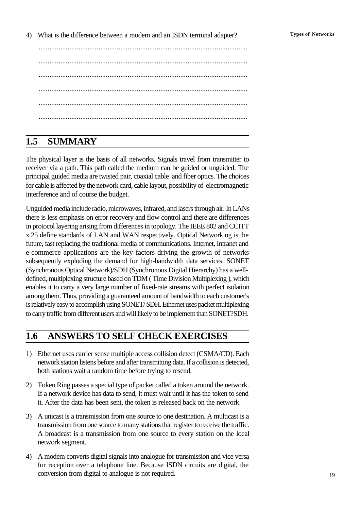4) What is the difference between a modem and an ISDN terminal adapter? **Types of Networks**

................................................................................................................... ................................................................................................................... ................................................................................................................... ................................................................................................................... ................................................................................................................... ...................................................................................................................

## **1.5 SUMMARY**

The physical layer is the basis of all networks. Signals travel from transmitter to receiver via a path. This path called the medium can be guided or unguided. The principal guided media are twisted pair, coaxial cable and fiber optics. The choices for cable is affected by the network card, cable layout, possibility of electromagnetic interference and of course the budget.

Unguided media include radio, microwaves, infrared, and lasers through air. In LANs there is less emphasis on error recovery and flow control and there are differences in protocol layering arising from differences in topology. The IEEE 802 and CCITT x.25 define standards of LAN and WAN respectively. Optical Networking is the future, fast replacing the traditional media of communications. Internet, Intranet and e-commerce applications are the key factors driving the growth of networks subsequently exploding the demand for high-bandwidth data services. SONET (Synchronous Optical Network)/SDH (Synchronous Digital Hierarchy) has a welldefined, multiplexing structure based on TDM ( Time Division Multiplexing ), which enables it to carry a very large number of fixed-rate streams with perfect isolation among them. Thus, providing a guaranteed amount of bandwidth to each customer's is relatively easy to accomplish using SONET/ SDH. Ethernet uses packet multiplexing to carry traffic from different users and will likely to be implement than SONET?SDH.

## **1.6 ANSWERS TO SELF CHECK EXERCISES**

- 1) Ethernet uses carrier sense multiple access collision detect (CSMA/CD). Each network station listens before and after transmitting data. If a collision is detected, both stations wait a random time before trying to resend.
- 2) Token Ring passes a special type of packet called a token around the network. If a network device has data to send, it must wait until it has the token to send it. After the data has been sent, the token is released back on the network.
- 3) A unicast is a transmission from one source to one destination. A multicast is a transmission from one source to many stations that register to receive the traffic. A broadcast is a transmission from one source to every station on the local network segment.
- 4) A modem converts digital signals into analogue for transmission and vice versa for reception over a telephone line. Because ISDN circuits are digital, the conversion from digital to analogue is not required.